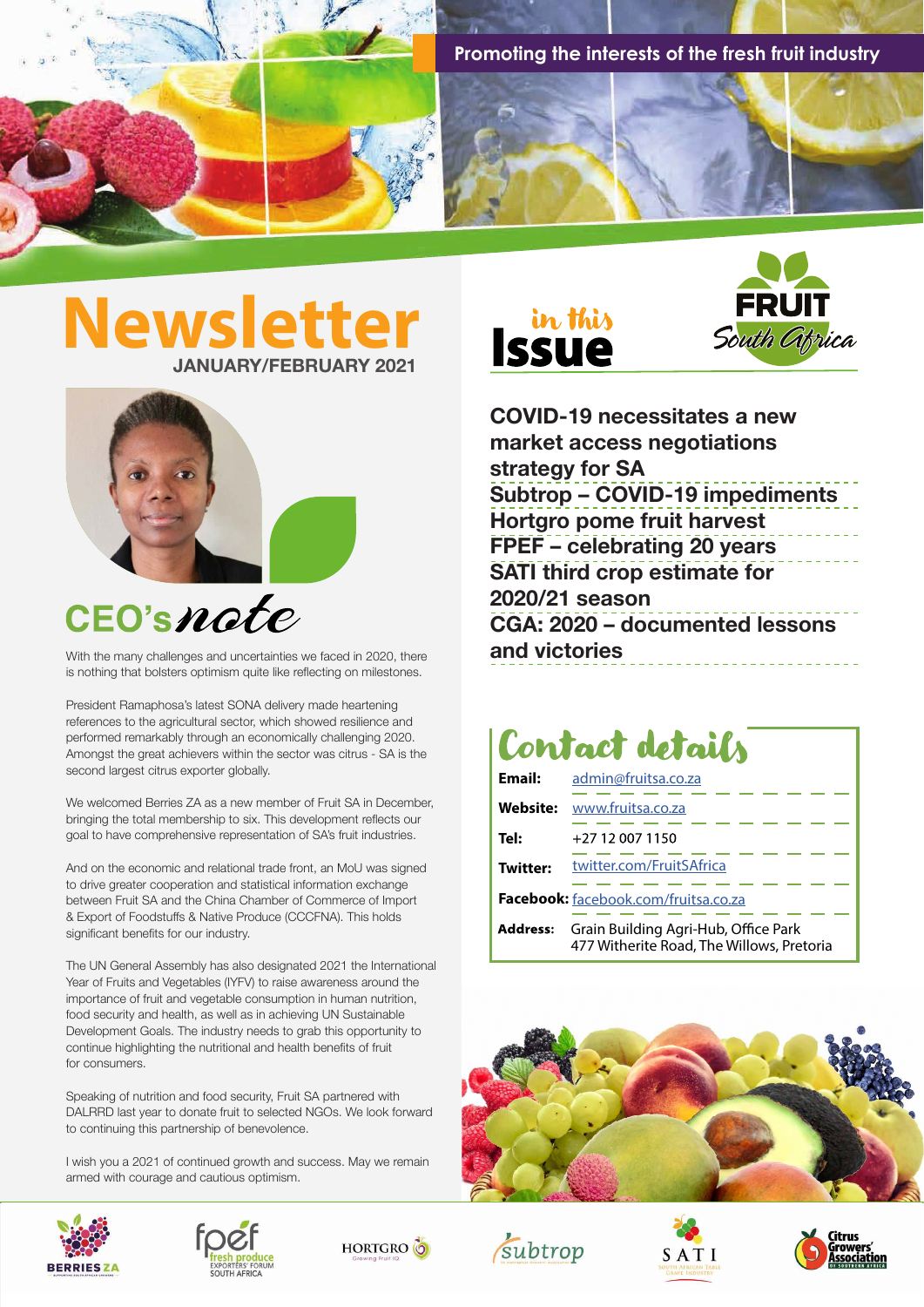**Promoting the interests of the fresh fruit industry**

## **Newsletter JANUARY/FEBRUARY 2021 Issue**



## **CEO's note**

With the many challenges and uncertainties we faced in 2020, there is nothing that bolsters optimism quite like reflecting on milestones.

President Ramaphosa's latest SONA delivery made heartening references to the agricultural sector, which showed resilience and performed remarkably through an economically challenging 2020. Amongst the great achievers within the sector was citrus - SA is the second largest citrus exporter globally.

We welcomed Berries ZA as a new member of Fruit SA in December, bringing the total membership to six. This development reflects our goal to have comprehensive representation of SA's fruit industries.

And on the economic and relational trade front, an MoU was signed to drive greater cooperation and statistical information exchange between Fruit SA and the China Chamber of Commerce of Import & Export of Foodstuffs & Native Produce (CCCFNA). This holds significant benefits for our industry.

The UN General Assembly has also designated 2021 the International Year of Fruits and Vegetables (IYFV) to raise awareness around the importance of fruit and vegetable consumption in human nutrition, food security and health, as well as in achieving UN Sustainable Development Goals. The industry needs to grab this opportunity to continue highlighting the nutritional and health benefits of fruit for consumers.

Speaking of nutrition and food security, Fruit SA partnered with DALRRD last year to donate fruit to selected NGOs. We look forward to continuing this partnership of benevolence.

I wish you a 2021 of continued growth and success. May we remain armed with courage and cautious optimism.











**COVID-19 necessitates a new market access negotiations strategy for SA Subtrop – COVID-19 impediments Hortgro pome fruit harvest FPEF – celebrating 20 years SATI third crop estimate for 2020/21 season CGA: 2020 – documented lessons and victories**

## Contact details

| Email:                               | admin@fruitsa.co.za                                                               |  |  |  |  |  |  |  |
|--------------------------------------|-----------------------------------------------------------------------------------|--|--|--|--|--|--|--|
| Website:                             | www.fruitsa.co.za                                                                 |  |  |  |  |  |  |  |
| Tel:                                 | +27 12 007 1150                                                                   |  |  |  |  |  |  |  |
| <b>Twitter:</b>                      | twitter.com/FruitSAfrica                                                          |  |  |  |  |  |  |  |
| Facebook: facebook.com/fruitsa.co.za |                                                                                   |  |  |  |  |  |  |  |
| <b>Address:</b>                      | Grain Building Agri-Hub, Office Park<br>477 Witherite Road, The Willows, Pretoria |  |  |  |  |  |  |  |







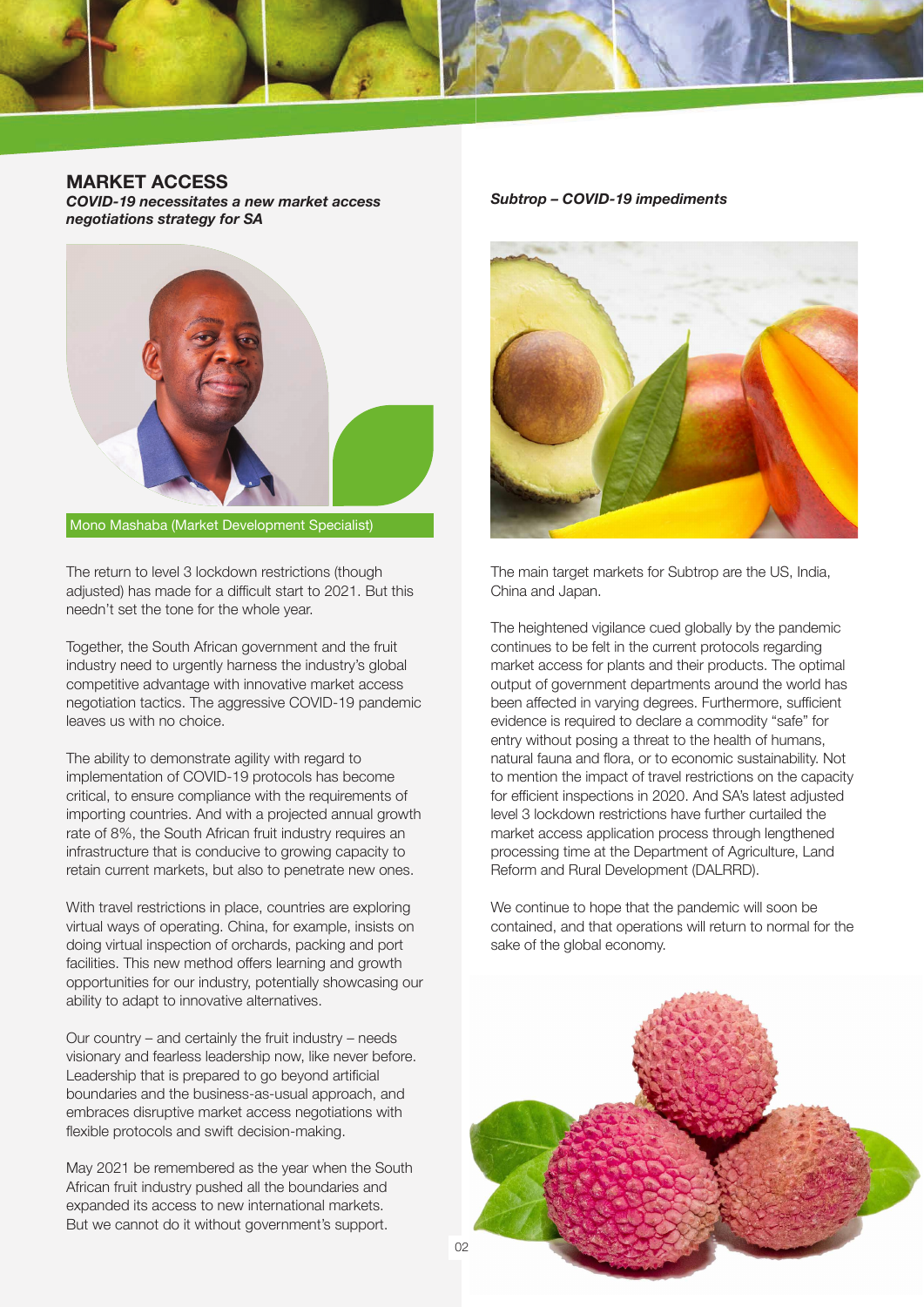

**MARKET ACCESS**

*COVID-19 necessitates a new market access negotiations strategy for SA* 



Mono Mashaba (Market Development Specialist)

The return to level 3 lockdown restrictions (though adjusted) has made for a difficult start to 2021. But this needn't set the tone for the whole year.

Together, the South African government and the fruit industry need to urgently harness the industry's global competitive advantage with innovative market access negotiation tactics. The aggressive COVID-19 pandemic leaves us with no choice.

The ability to demonstrate agility with regard to implementation of COVID-19 protocols has become critical, to ensure compliance with the requirements of importing countries. And with a projected annual growth rate of 8%, the South African fruit industry requires an infrastructure that is conducive to growing capacity to retain current markets, but also to penetrate new ones.

With travel restrictions in place, countries are exploring virtual ways of operating. China, for example, insists on doing virtual inspection of orchards, packing and port facilities. This new method offers learning and growth opportunities for our industry, potentially showcasing our ability to adapt to innovative alternatives.

Our country – and certainly the fruit industry – needs visionary and fearless leadership now, like never before. Leadership that is prepared to go beyond artificial boundaries and the business-as-usual approach, and embraces disruptive market access negotiations with flexible protocols and swift decision-making.

May 2021 be remembered as the year when the South African fruit industry pushed all the boundaries and expanded its access to new international markets. But we cannot do it without government's support.

*Subtrop – COVID-19 impediments*



The main target markets for Subtrop are the US, India, China and Japan.

The heightened vigilance cued globally by the pandemic continues to be felt in the current protocols regarding market access for plants and their products. The optimal output of government departments around the world has been affected in varying degrees. Furthermore, sufficient evidence is required to declare a commodity "safe" for entry without posing a threat to the health of humans, natural fauna and flora, or to economic sustainability. Not to mention the impact of travel restrictions on the capacity for efficient inspections in 2020. And SA's latest adjusted level 3 lockdown restrictions have further curtailed the market access application process through lengthened processing time at the Department of Agriculture, Land Reform and Rural Development (DALRRD).

We continue to hope that the pandemic will soon be contained, and that operations will return to normal for the sake of the global economy.

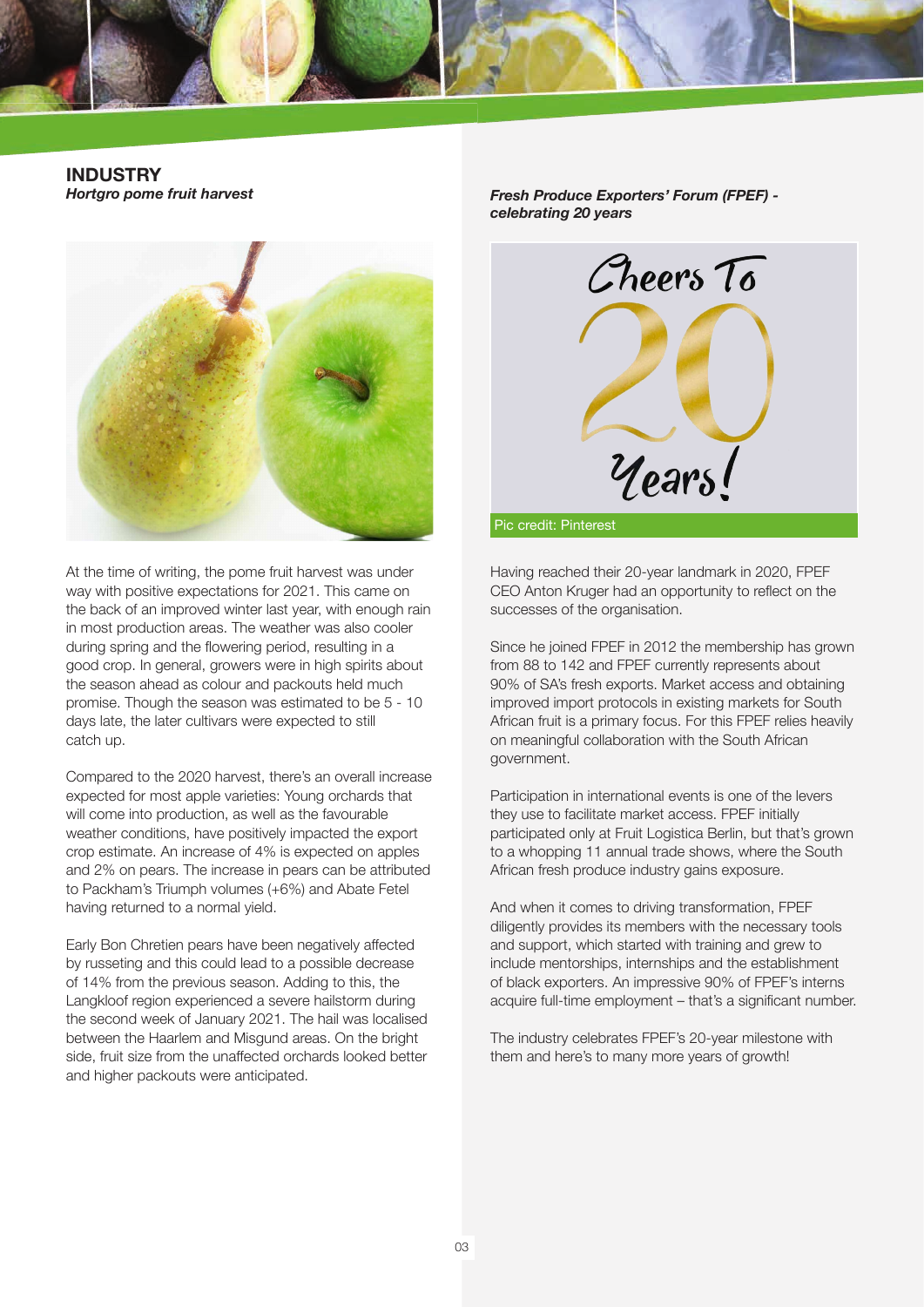

**INDUSTRY** *Hortgro pome fruit harvest*



At the time of writing, the pome fruit harvest was under way with positive expectations for 2021. This came on the back of an improved winter last year, with enough rain in most production areas. The weather was also cooler during spring and the flowering period, resulting in a good crop. In general, growers were in high spirits about the season ahead as colour and packouts held much promise. Though the season was estimated to be 5 - 10 days late, the later cultivars were expected to still catch up.

Compared to the 2020 harvest, there's an overall increase expected for most apple varieties: Young orchards that will come into production, as well as the favourable weather conditions, have positively impacted the export crop estimate. An increase of 4% is expected on apples and 2% on pears. The increase in pears can be attributed to Packham's Triumph volumes (+6%) and Abate Fetel having returned to a normal yield.

Early Bon Chretien pears have been negatively affected by russeting and this could lead to a possible decrease of 14% from the previous season. Adding to this, the Langkloof region experienced a severe hailstorm during the second week of January 2021. The hail was localised between the Haarlem and Misgund areas. On the bright side, fruit size from the unaffected orchards looked better and higher packouts were anticipated.

*Fresh Produce Exporters' Forum (FPEF) celebrating 20 years*



Having reached their 20-year landmark in 2020, FPEF CEO Anton Kruger had an opportunity to reflect on the successes of the organisation.

Since he joined FPEF in 2012 the membership has grown from 88 to 142 and FPEF currently represents about 90% of SA's fresh exports. Market access and obtaining improved import protocols in existing markets for South African fruit is a primary focus. For this FPEF relies heavily on meaningful collaboration with the South African government.

Participation in international events is one of the levers they use to facilitate market access. FPEF initially participated only at Fruit Logistica Berlin, but that's grown to a whopping 11 annual trade shows, where the South African fresh produce industry gains exposure.

And when it comes to driving transformation, FPEF diligently provides its members with the necessary tools and support, which started with training and grew to include mentorships, internships and the establishment of black exporters. An impressive 90% of FPEF's interns acquire full-time employment – that's a significant number.

The industry celebrates FPEF's 20-year milestone with them and here's to many more years of growth!